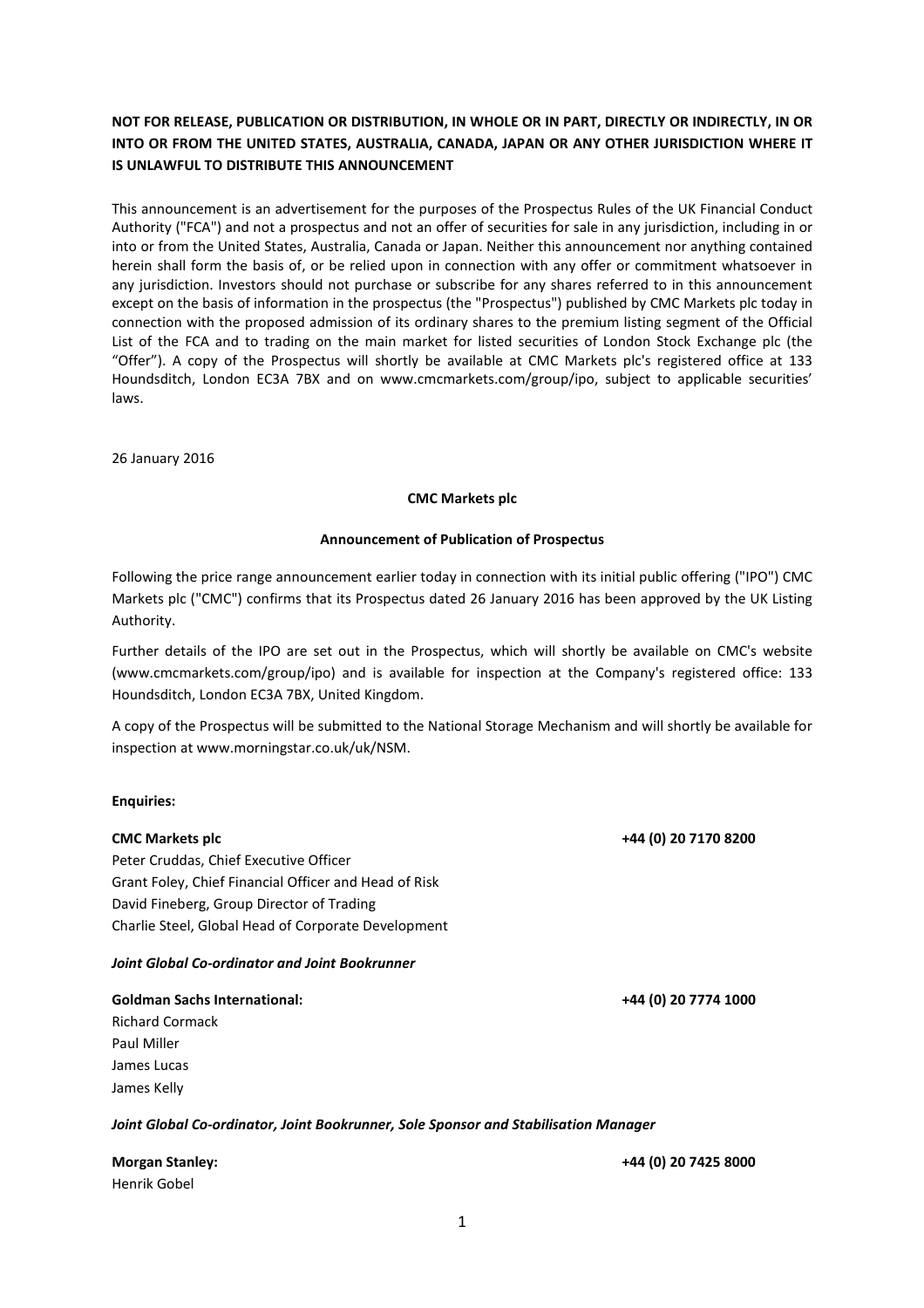## NOT FOR RELEASE, PUBLICATION OR DISTRIBUTION, IN WHOLE OR IN PART, DIRECTLY OR INDIRECTLY, IN OR INTO OR FROM THE UNITED STATES, AUSTRALIA, CANADA, JAPAN OR ANY OTHER JURISDICTION WHERE IT IS UNLAWFUL TO DISTRIBUTE THIS ANNOUNCEMENT

This announcement is an advertisement for the purposes of the Prospectus Rules of the UK Financial Conduct Authority ("FCA") and not a prospectus and not an offer of securities for sale in any jurisdiction, including in or into or from the United States, Australia, Canada or Japan. Neither this announcement nor anything contained herein shall form the basis of, or be relied upon in connection with any offer or commitment whatsoever in any jurisdiction. Investors should not purchase or subscribe for any shares referred to in this announcement except on the basis of information in the prospectus (the "Prospectus") published by CMC Markets plc today in connection with the proposed admission of its ordinary shares to the premium listing segment of the Official List of the FCA and to trading on the main market for listed securities of London Stock Exchange plc (the "Offer"). A copy of the Prospectus will shortly be available at CMC Markets plc's registered office at 133 Houndsditch, London EC3A 7BX and on www.cmcmarkets.com/group/ipo, subject to applicable securities' laws.

26 January 2016

#### CMC Markets plc

#### Announcement of Publication of Prospectus

Following the price range announcement earlier today in connection with its initial public offering ("IPO") CMC Markets plc ("CMC") confirms that its Prospectus dated 26 January 2016 has been approved by the UK Listing Authority.

Further details of the IPO are set out in the Prospectus, which will shortly be available on CMC's website (www.cmcmarkets.com/group/ipo) and is available for inspection at the Company's registered office: 133 Houndsditch, London EC3A 7BX, United Kingdom.

A copy of the Prospectus will be submitted to the National Storage Mechanism and will shortly be available for inspection at www.morningstar.co.uk/uk/NSM.

#### Enquiries:

# CMC Markets plc +44 (0) 20 7170 8200 Peter Cruddas, Chief Executive Officer Grant Foley, Chief Financial Officer and Head of Risk David Fineberg, Group Director of Trading Charlie Steel, Global Head of Corporate Development Joint Global Co-ordinator and Joint Bookrunner Goldman Sachs International: +44 (0) 20 7774 1000

Richard Cormack Paul Miller James Lucas James Kelly

Joint Global Co-ordinator, Joint Bookrunner, Sole Sponsor and Stabilisation Manager

Henrik Gobel

Morgan Stanley: +44 (0) 20 7425 8000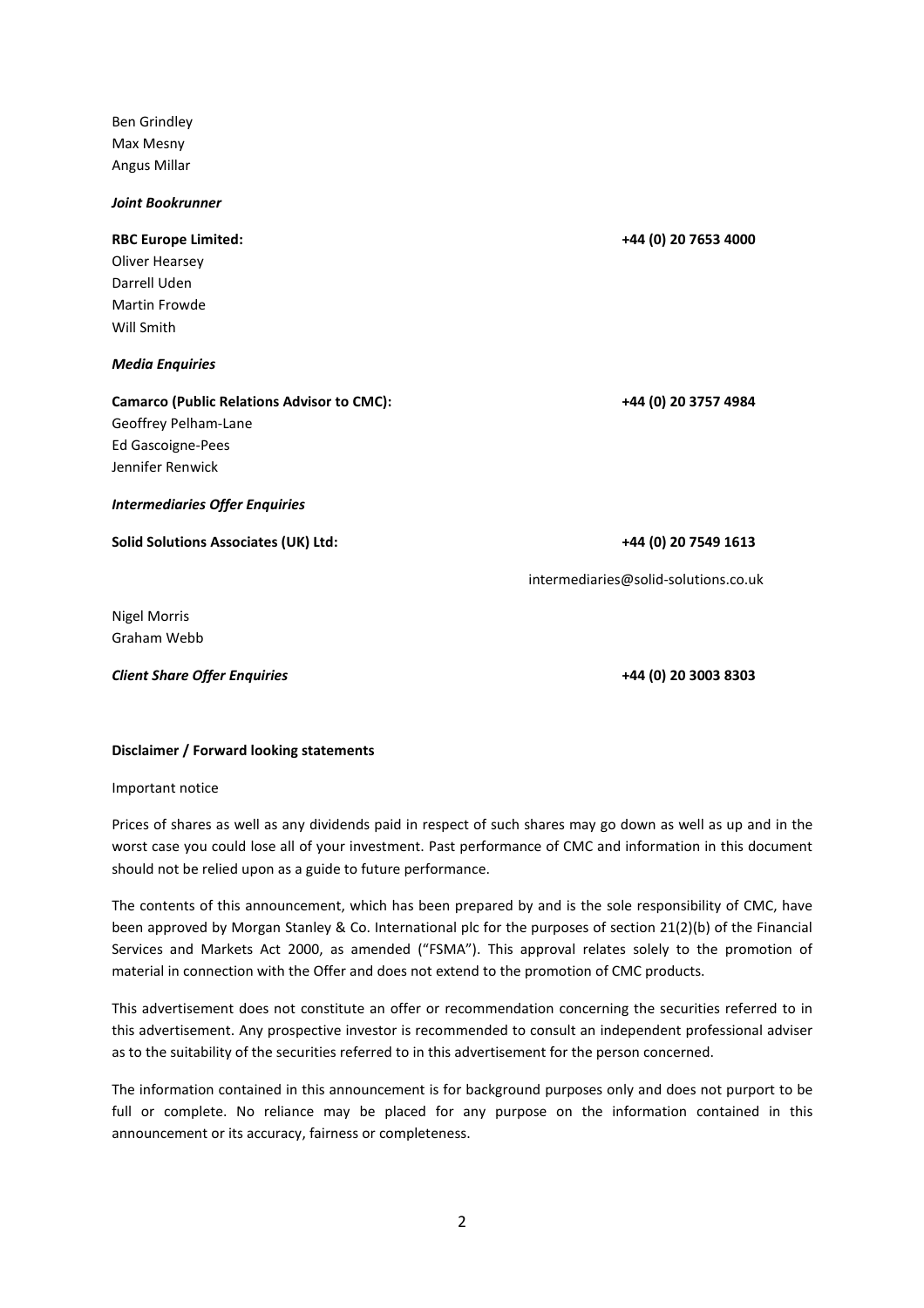Ben Grindley Max Mesny Angus Millar

Joint Bookrunner

# RBC Europe Limited: +44 (0) 20 7653 4000 Oliver Hearsey Darrell Uden Martin Frowde Will Smith Media Enquiries Camarco (Public Relations Advisor to CMC): +44 (0) 20 3757 4984 Geoffrey Pelham-Lane Ed Gascoigne-Pees Jennifer Renwick Intermediaries Offer Enquiries Solid Solutions Associates (UK) Ltd: +44 (0) 20 7549 1613 intermediaries@solid-solutions.co.uk

Nigel Morris Graham Webb

Client Share Offer Enquiries +44 (0) 20 3003 8303

### Disclaimer / Forward looking statements

Important notice

Prices of shares as well as any dividends paid in respect of such shares may go down as well as up and in the worst case you could lose all of your investment. Past performance of CMC and information in this document should not be relied upon as a guide to future performance.

The contents of this announcement, which has been prepared by and is the sole responsibility of CMC, have been approved by Morgan Stanley & Co. International plc for the purposes of section 21(2)(b) of the Financial Services and Markets Act 2000, as amended ("FSMA"). This approval relates solely to the promotion of material in connection with the Offer and does not extend to the promotion of CMC products.

This advertisement does not constitute an offer or recommendation concerning the securities referred to in this advertisement. Any prospective investor is recommended to consult an independent professional adviser as to the suitability of the securities referred to in this advertisement for the person concerned.

The information contained in this announcement is for background purposes only and does not purport to be full or complete. No reliance may be placed for any purpose on the information contained in this announcement or its accuracy, fairness or completeness.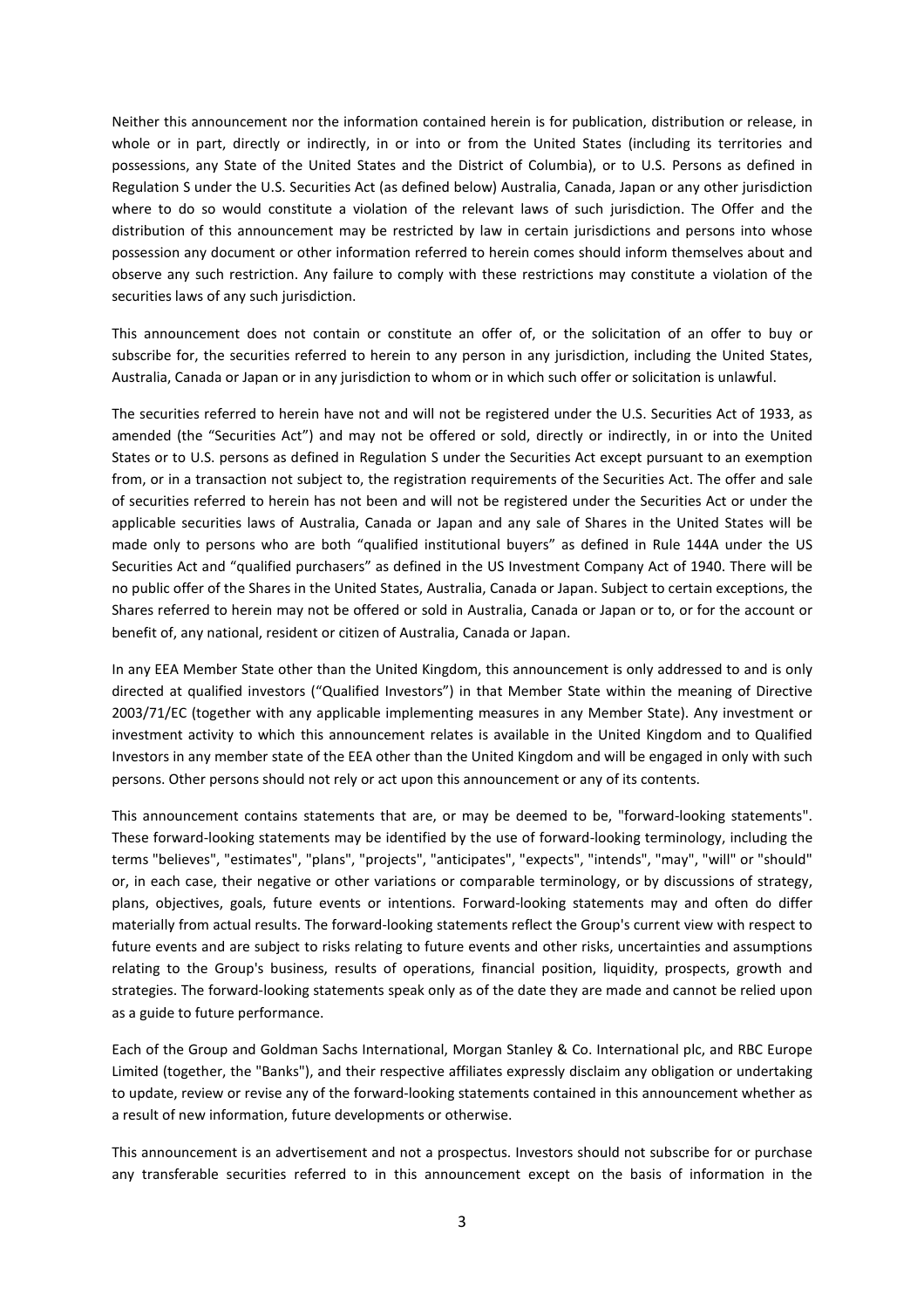Neither this announcement nor the information contained herein is for publication, distribution or release, in whole or in part, directly or indirectly, in or into or from the United States (including its territories and possessions, any State of the United States and the District of Columbia), or to U.S. Persons as defined in Regulation S under the U.S. Securities Act (as defined below) Australia, Canada, Japan or any other jurisdiction where to do so would constitute a violation of the relevant laws of such jurisdiction. The Offer and the distribution of this announcement may be restricted by law in certain jurisdictions and persons into whose possession any document or other information referred to herein comes should inform themselves about and observe any such restriction. Any failure to comply with these restrictions may constitute a violation of the securities laws of any such jurisdiction.

This announcement does not contain or constitute an offer of, or the solicitation of an offer to buy or subscribe for, the securities referred to herein to any person in any jurisdiction, including the United States, Australia, Canada or Japan or in any jurisdiction to whom or in which such offer or solicitation is unlawful.

The securities referred to herein have not and will not be registered under the U.S. Securities Act of 1933, as amended (the "Securities Act") and may not be offered or sold, directly or indirectly, in or into the United States or to U.S. persons as defined in Regulation S under the Securities Act except pursuant to an exemption from, or in a transaction not subject to, the registration requirements of the Securities Act. The offer and sale of securities referred to herein has not been and will not be registered under the Securities Act or under the applicable securities laws of Australia, Canada or Japan and any sale of Shares in the United States will be made only to persons who are both "qualified institutional buyers" as defined in Rule 144A under the US Securities Act and "qualified purchasers" as defined in the US Investment Company Act of 1940. There will be no public offer of the Shares in the United States, Australia, Canada or Japan. Subject to certain exceptions, the Shares referred to herein may not be offered or sold in Australia, Canada or Japan or to, or for the account or benefit of, any national, resident or citizen of Australia, Canada or Japan.

In any EEA Member State other than the United Kingdom, this announcement is only addressed to and is only directed at qualified investors ("Qualified Investors") in that Member State within the meaning of Directive 2003/71/EC (together with any applicable implementing measures in any Member State). Any investment or investment activity to which this announcement relates is available in the United Kingdom and to Qualified Investors in any member state of the EEA other than the United Kingdom and will be engaged in only with such persons. Other persons should not rely or act upon this announcement or any of its contents.

This announcement contains statements that are, or may be deemed to be, "forward-looking statements". These forward-looking statements may be identified by the use of forward-looking terminology, including the terms "believes", "estimates", "plans", "projects", "anticipates", "expects", "intends", "may", "will" or "should" or, in each case, their negative or other variations or comparable terminology, or by discussions of strategy, plans, objectives, goals, future events or intentions. Forward-looking statements may and often do differ materially from actual results. The forward-looking statements reflect the Group's current view with respect to future events and are subject to risks relating to future events and other risks, uncertainties and assumptions relating to the Group's business, results of operations, financial position, liquidity, prospects, growth and strategies. The forward-looking statements speak only as of the date they are made and cannot be relied upon as a guide to future performance.

Each of the Group and Goldman Sachs International, Morgan Stanley & Co. International plc, and RBC Europe Limited (together, the "Banks"), and their respective affiliates expressly disclaim any obligation or undertaking to update, review or revise any of the forward-looking statements contained in this announcement whether as a result of new information, future developments or otherwise.

This announcement is an advertisement and not a prospectus. Investors should not subscribe for or purchase any transferable securities referred to in this announcement except on the basis of information in the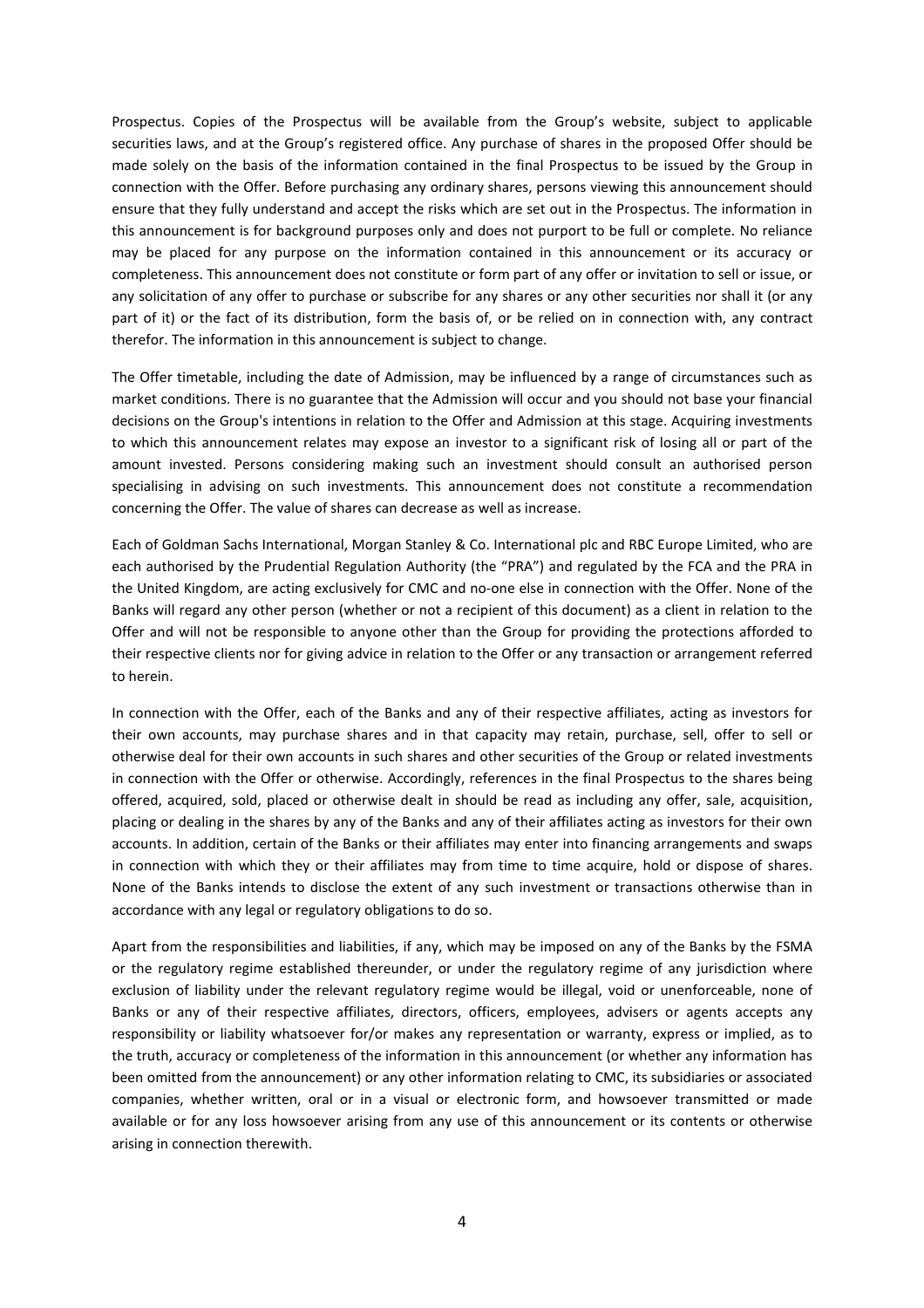Prospectus. Copies of the Prospectus will be available from the Group's website, subject to applicable securities laws, and at the Group's registered office. Any purchase of shares in the proposed Offer should be made solely on the basis of the information contained in the final Prospectus to be issued by the Group in connection with the Offer. Before purchasing any ordinary shares, persons viewing this announcement should ensure that they fully understand and accept the risks which are set out in the Prospectus. The information in this announcement is for background purposes only and does not purport to be full or complete. No reliance may be placed for any purpose on the information contained in this announcement or its accuracy or completeness. This announcement does not constitute or form part of any offer or invitation to sell or issue, or any solicitation of any offer to purchase or subscribe for any shares or any other securities nor shall it (or any part of it) or the fact of its distribution, form the basis of, or be relied on in connection with, any contract therefor. The information in this announcement is subject to change.

The Offer timetable, including the date of Admission, may be influenced by a range of circumstances such as market conditions. There is no guarantee that the Admission will occur and you should not base your financial decisions on the Group's intentions in relation to the Offer and Admission at this stage. Acquiring investments to which this announcement relates may expose an investor to a significant risk of losing all or part of the amount invested. Persons considering making such an investment should consult an authorised person specialising in advising on such investments. This announcement does not constitute a recommendation concerning the Offer. The value of shares can decrease as well as increase.

Each of Goldman Sachs International, Morgan Stanley & Co. International plc and RBC Europe Limited, who are each authorised by the Prudential Regulation Authority (the "PRA") and regulated by the FCA and the PRA in the United Kingdom, are acting exclusively for CMC and no-one else in connection with the Offer. None of the Banks will regard any other person (whether or not a recipient of this document) as a client in relation to the Offer and will not be responsible to anyone other than the Group for providing the protections afforded to their respective clients nor for giving advice in relation to the Offer or any transaction or arrangement referred to herein.

In connection with the Offer, each of the Banks and any of their respective affiliates, acting as investors for their own accounts, may purchase shares and in that capacity may retain, purchase, sell, offer to sell or otherwise deal for their own accounts in such shares and other securities of the Group or related investments in connection with the Offer or otherwise. Accordingly, references in the final Prospectus to the shares being offered, acquired, sold, placed or otherwise dealt in should be read as including any offer, sale, acquisition, placing or dealing in the shares by any of the Banks and any of their affiliates acting as investors for their own accounts. In addition, certain of the Banks or their affiliates may enter into financing arrangements and swaps in connection with which they or their affiliates may from time to time acquire, hold or dispose of shares. None of the Banks intends to disclose the extent of any such investment or transactions otherwise than in accordance with any legal or regulatory obligations to do so.

Apart from the responsibilities and liabilities, if any, which may be imposed on any of the Banks by the FSMA or the regulatory regime established thereunder, or under the regulatory regime of any jurisdiction where exclusion of liability under the relevant regulatory regime would be illegal, void or unenforceable, none of Banks or any of their respective affiliates, directors, officers, employees, advisers or agents accepts any responsibility or liability whatsoever for/or makes any representation or warranty, express or implied, as to the truth, accuracy or completeness of the information in this announcement (or whether any information has been omitted from the announcement) or any other information relating to CMC, its subsidiaries or associated companies, whether written, oral or in a visual or electronic form, and howsoever transmitted or made available or for any loss howsoever arising from any use of this announcement or its contents or otherwise arising in connection therewith.